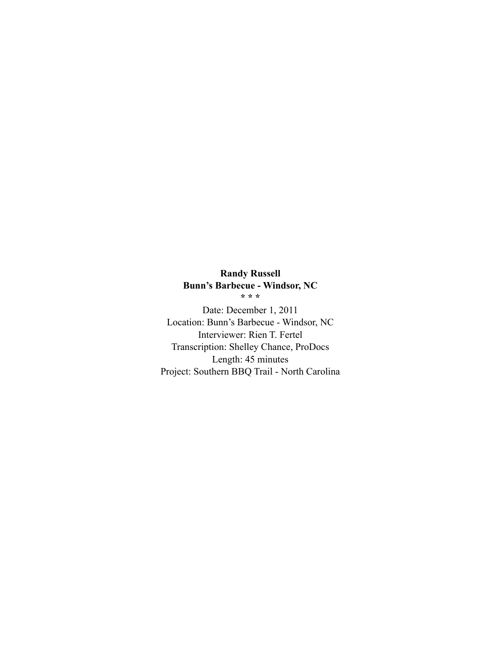## **Randy Russell Bunn's Barbecue - Windsor, NC \* \* \***

Date: December 1, 2011 Location: Bunn's Barbecue - Windsor, NC Interviewer: Rien T. Fertel Transcription: Shelley Chance, ProDocs Length: 45 minutes Project: Southern BBQ Trail - North Carolina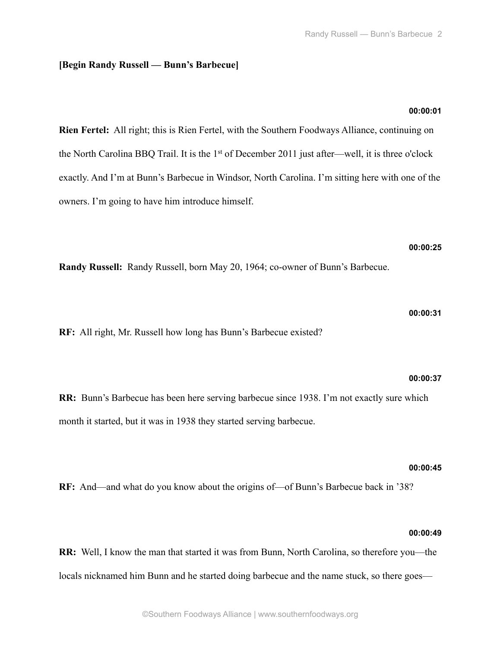## **[Begin Randy Russell — Bunn's Barbecue]**

**Rien Fertel:** All right; this is Rien Fertel, with the Southern Foodways Alliance, continuing on the North Carolina BBQ Trail. It is the 1<sup>st</sup> of December 2011 just after—well, it is three o'clock exactly. And I'm at Bunn's Barbecue in Windsor, North Carolina. I'm sitting here with one of the owners. I'm going to have him introduce himself.

# **00:00:25**

**Randy Russell:** Randy Russell, born May 20, 1964; co-owner of Bunn's Barbecue.

**RF:** All right, Mr. Russell how long has Bunn's Barbecue existed?

#### **00:00:37**

**RR:** Bunn's Barbecue has been here serving barbecue since 1938. I'm not exactly sure which month it started, but it was in 1938 they started serving barbecue.

#### **00:00:45**

**RF:** And—and what do you know about the origins of—of Bunn's Barbecue back in '38?

## **00:00:49**

**RR:** Well, I know the man that started it was from Bunn, North Carolina, so therefore you—the locals nicknamed him Bunn and he started doing barbecue and the name stuck, so there goes—

# **00:00:31**

## **00:00:01**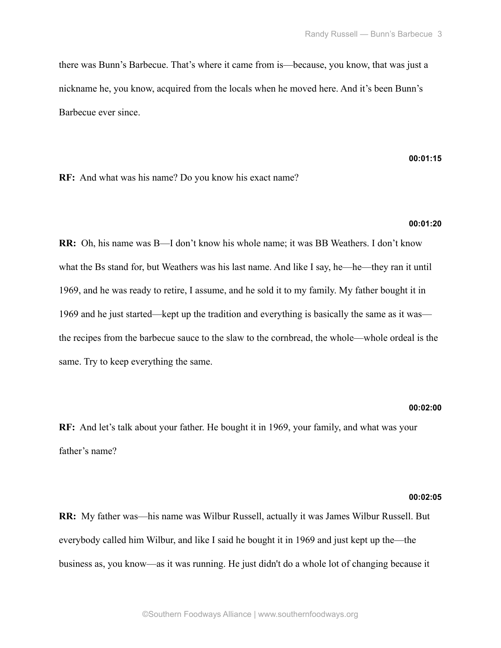there was Bunn's Barbecue. That's where it came from is—because, you know, that was just a nickname he, you know, acquired from the locals when he moved here. And it's been Bunn's Barbecue ever since.

## **00:01:15**

**RF:** And what was his name? Do you know his exact name?

#### **00:01:20**

**RR:** Oh, his name was B—I don't know his whole name; it was BB Weathers. I don't know what the Bs stand for, but Weathers was his last name. And like I say, he—he—they ran it until 1969, and he was ready to retire, I assume, and he sold it to my family. My father bought it in 1969 and he just started—kept up the tradition and everything is basically the same as it was the recipes from the barbecue sauce to the slaw to the cornbread, the whole—whole ordeal is the same. Try to keep everything the same.

#### **00:02:00**

**RF:** And let's talk about your father. He bought it in 1969, your family, and what was your father's name?

#### **00:02:05**

**RR:** My father was—his name was Wilbur Russell, actually it was James Wilbur Russell. But everybody called him Wilbur, and like I said he bought it in 1969 and just kept up the—the business as, you know—as it was running. He just didn't do a whole lot of changing because it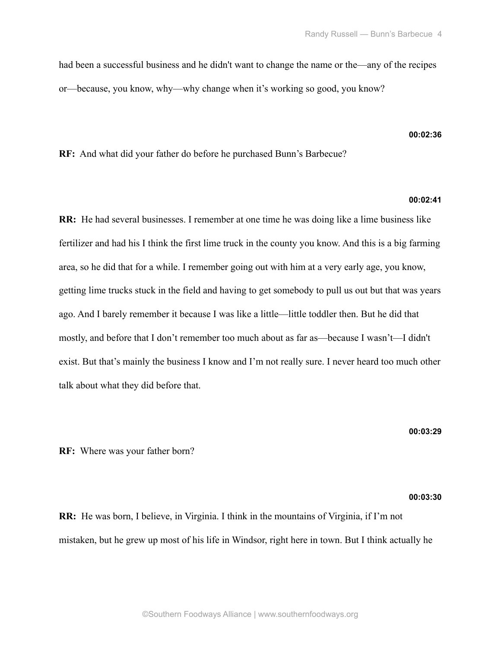had been a successful business and he didn't want to change the name or the—any of the recipes or—because, you know, why—why change when it's working so good, you know?

## **00:02:36**

**RF:** And what did your father do before he purchased Bunn's Barbecue?

## **00:02:41**

**RR:** He had several businesses. I remember at one time he was doing like a lime business like fertilizer and had his I think the first lime truck in the county you know. And this is a big farming area, so he did that for a while. I remember going out with him at a very early age, you know, getting lime trucks stuck in the field and having to get somebody to pull us out but that was years ago. And I barely remember it because I was like a little—little toddler then. But he did that mostly, and before that I don't remember too much about as far as—because I wasn't—I didn't exist. But that's mainly the business I know and I'm not really sure. I never heard too much other talk about what they did before that.

**00:03:29**

**00:03:30**

**RF:** Where was your father born?

**RR:** He was born, I believe, in Virginia. I think in the mountains of Virginia, if I'm not mistaken, but he grew up most of his life in Windsor, right here in town. But I think actually he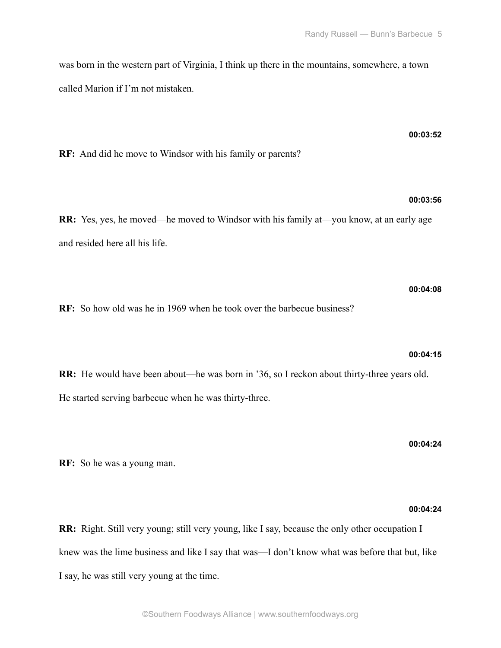was born in the western part of Virginia, I think up there in the mountains, somewhere, a town called Marion if I'm not mistaken.

**RF:** And did he move to Windsor with his family or parents?

**RR:** Yes, yes, he moved—he moved to Windsor with his family at—you know, at an early age and resided here all his life.

**RF:** So how old was he in 1969 when he took over the barbecue business?

**RR:** He would have been about—he was born in '36, so I reckon about thirty-three years old. He started serving barbecue when he was thirty-three.

**RF:** So he was a young man.

## **00:04:24**

**RR:** Right. Still very young; still very young, like I say, because the only other occupation I knew was the lime business and like I say that was—I don't know what was before that but, like I say, he was still very young at the time.

©Southern Foodways Alliance | www.southernfoodways.org

**00:04:15**

**00:04:08**

**00:04:24**

**00:03:56**

**00:03:52**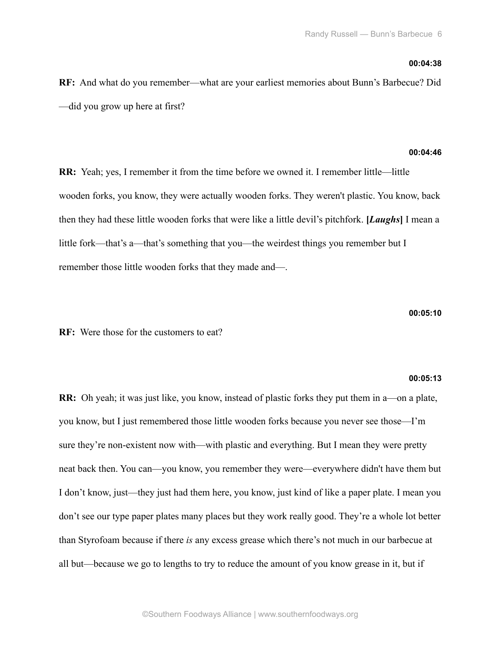#### **00:04:38**

**RF:** And what do you remember—what are your earliest memories about Bunn's Barbecue? Did —did you grow up here at first?

## **00:04:46**

**RR:** Yeah; yes, I remember it from the time before we owned it. I remember little—little wooden forks, you know, they were actually wooden forks. They weren't plastic. You know, back then they had these little wooden forks that were like a little devil's pitchfork. **[***Laughs***]** I mean a little fork—that's a—that's something that you—the weirdest things you remember but I remember those little wooden forks that they made and—.

#### **00:05:10**

**RF:** Were those for the customers to eat?

#### **00:05:13**

**RR:** Oh yeah; it was just like, you know, instead of plastic forks they put them in a—on a plate, you know, but I just remembered those little wooden forks because you never see those—I'm sure they're non-existent now with—with plastic and everything. But I mean they were pretty neat back then. You can—you know, you remember they were—everywhere didn't have them but I don't know, just—they just had them here, you know, just kind of like a paper plate. I mean you don't see our type paper plates many places but they work really good. They're a whole lot better than Styrofoam because if there *is* any excess grease which there's not much in our barbecue at all but—because we go to lengths to try to reduce the amount of you know grease in it, but if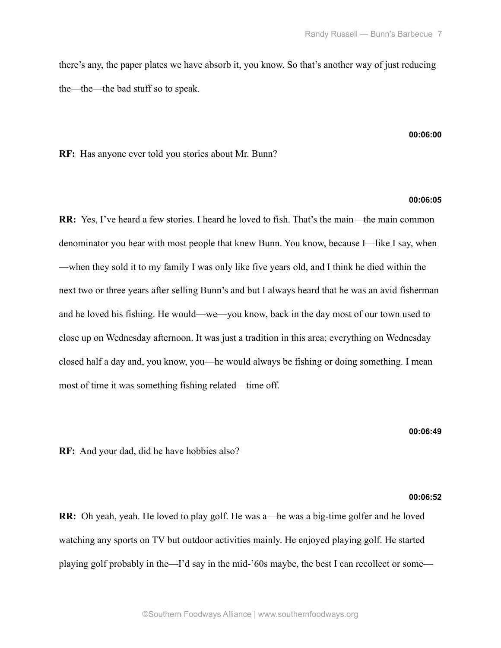there's any, the paper plates we have absorb it, you know. So that's another way of just reducing the—the—the bad stuff so to speak.

#### **00:06:00**

**RF:** Has anyone ever told you stories about Mr. Bunn?

## **00:06:05**

**RR:** Yes, I've heard a few stories. I heard he loved to fish. That's the main—the main common denominator you hear with most people that knew Bunn. You know, because I—like I say, when —when they sold it to my family I was only like five years old, and I think he died within the next two or three years after selling Bunn's and but I always heard that he was an avid fisherman and he loved his fishing. He would—we—you know, back in the day most of our town used to close up on Wednesday afternoon. It was just a tradition in this area; everything on Wednesday closed half a day and, you know, you—he would always be fishing or doing something. I mean most of time it was something fishing related—time off.

**00:06:49**

**RF:** And your dad, did he have hobbies also?

#### **00:06:52**

**RR:** Oh yeah, yeah. He loved to play golf. He was a—he was a big-time golfer and he loved watching any sports on TV but outdoor activities mainly. He enjoyed playing golf. He started playing golf probably in the—I'd say in the mid-'60s maybe, the best I can recollect or some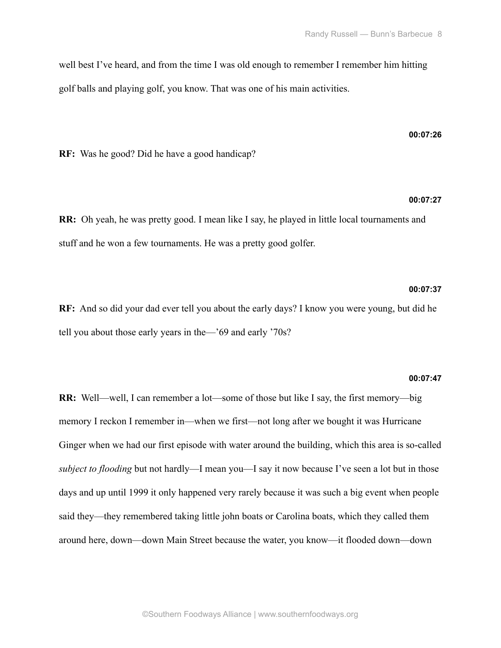well best I've heard, and from the time I was old enough to remember I remember him hitting golf balls and playing golf, you know. That was one of his main activities.

## **00:07:26**

**RF:** Was he good? Did he have a good handicap?

## **00:07:27**

**RR:** Oh yeah, he was pretty good. I mean like I say, he played in little local tournaments and stuff and he won a few tournaments. He was a pretty good golfer.

## **00:07:37**

**RF:** And so did your dad ever tell you about the early days? I know you were young, but did he tell you about those early years in the—'69 and early '70s?

## **00:07:47**

**RR:** Well—well, I can remember a lot—some of those but like I say, the first memory—big memory I reckon I remember in—when we first—not long after we bought it was Hurricane Ginger when we had our first episode with water around the building, which this area is so-called *subject to flooding* but not hardly—I mean you—I say it now because I've seen a lot but in those days and up until 1999 it only happened very rarely because it was such a big event when people said they—they remembered taking little john boats or Carolina boats, which they called them around here, down—down Main Street because the water, you know—it flooded down—down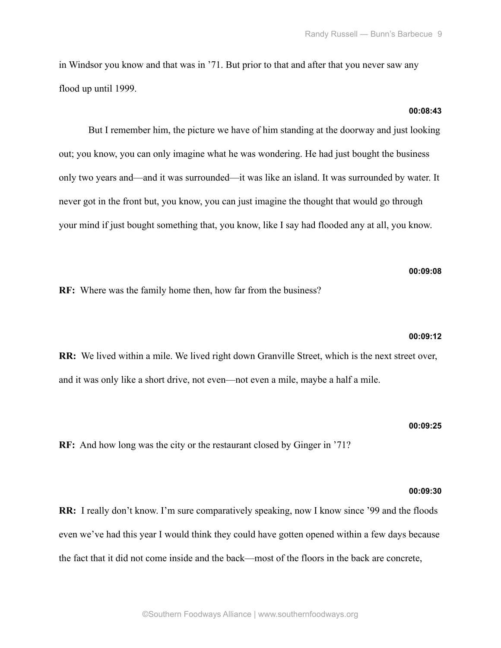in Windsor you know and that was in '71. But prior to that and after that you never saw any flood up until 1999.

#### **00:08:43**

 But I remember him, the picture we have of him standing at the doorway and just looking out; you know, you can only imagine what he was wondering. He had just bought the business only two years and—and it was surrounded—it was like an island. It was surrounded by water. It never got in the front but, you know, you can just imagine the thought that would go through your mind if just bought something that, you know, like I say had flooded any at all, you know.

## **00:09:08**

**RF:** Where was the family home then, how far from the business?

## **00:09:12**

**RR:** We lived within a mile. We lived right down Granville Street, which is the next street over, and it was only like a short drive, not even—not even a mile, maybe a half a mile.

#### **00:09:25**

**RF:** And how long was the city or the restaurant closed by Ginger in '71?

#### **00:09:30**

**RR:** I really don't know. I'm sure comparatively speaking, now I know since '99 and the floods even we've had this year I would think they could have gotten opened within a few days because the fact that it did not come inside and the back—most of the floors in the back are concrete,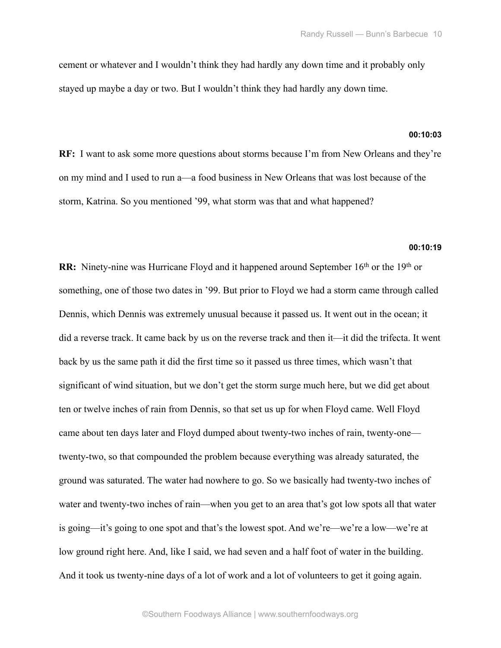cement or whatever and I wouldn't think they had hardly any down time and it probably only stayed up maybe a day or two. But I wouldn't think they had hardly any down time.

## **00:10:03**

**RF:** I want to ask some more questions about storms because I'm from New Orleans and they're on my mind and I used to run a—a food business in New Orleans that was lost because of the storm, Katrina. So you mentioned '99, what storm was that and what happened?

## **00:10:19**

**RR:** Ninety-nine was Hurricane Floyd and it happened around September 16<sup>th</sup> or the 19<sup>th</sup> or something, one of those two dates in '99. But prior to Floyd we had a storm came through called Dennis, which Dennis was extremely unusual because it passed us. It went out in the ocean; it did a reverse track. It came back by us on the reverse track and then it—it did the trifecta. It went back by us the same path it did the first time so it passed us three times, which wasn't that significant of wind situation, but we don't get the storm surge much here, but we did get about ten or twelve inches of rain from Dennis, so that set us up for when Floyd came. Well Floyd came about ten days later and Floyd dumped about twenty-two inches of rain, twenty-one twenty-two, so that compounded the problem because everything was already saturated, the ground was saturated. The water had nowhere to go. So we basically had twenty-two inches of water and twenty-two inches of rain—when you get to an area that's got low spots all that water is going—it's going to one spot and that's the lowest spot. And we're—we're a low—we're at low ground right here. And, like I said, we had seven and a half foot of water in the building. And it took us twenty-nine days of a lot of work and a lot of volunteers to get it going again.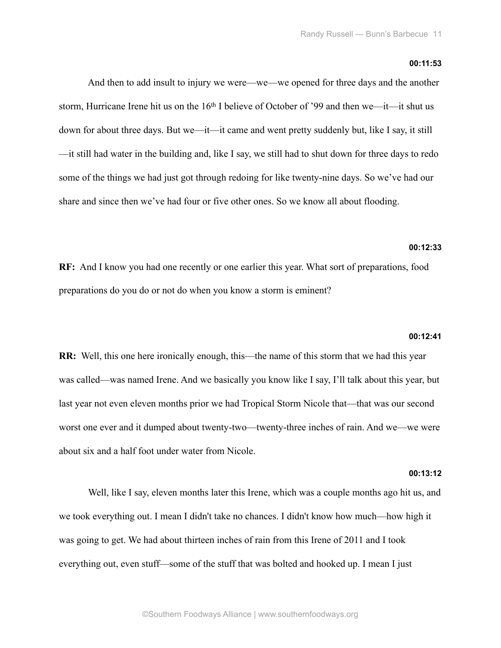## **00:11:53**

 And then to add insult to injury we were—we—we opened for three days and the another storm, Hurricane Irene hit us on the 16<sup>th</sup> I believe of October of '99 and then we—it—it shut us down for about three days. But we—it—it came and went pretty suddenly but, like I say, it still —it still had water in the building and, like I say, we still had to shut down for three days to redo some of the things we had just got through redoing for like twenty-nine days. So we've had our share and since then we've had four or five other ones. So we know all about flooding.

## **00:12:33**

**RF:** And I know you had one recently or one earlier this year. What sort of preparations, food preparations do you do or not do when you know a storm is eminent?

#### **00:12:41**

**RR:** Well, this one here ironically enough, this—the name of this storm that we had this year was called—was named Irene. And we basically you know like I say, I'll talk about this year, but last year not even eleven months prior we had Tropical Storm Nicole that—that was our second worst one ever and it dumped about twenty-two—twenty-three inches of rain. And we—we were about six and a half foot under water from Nicole.

## **00:13:12**

Well, like I say, eleven months later this Irene, which was a couple months ago hit us, and we took everything out. I mean I didn't take no chances. I didn't know how much—how high it was going to get. We had about thirteen inches of rain from this Irene of 2011 and I took everything out, even stuff—some of the stuff that was bolted and hooked up. I mean I just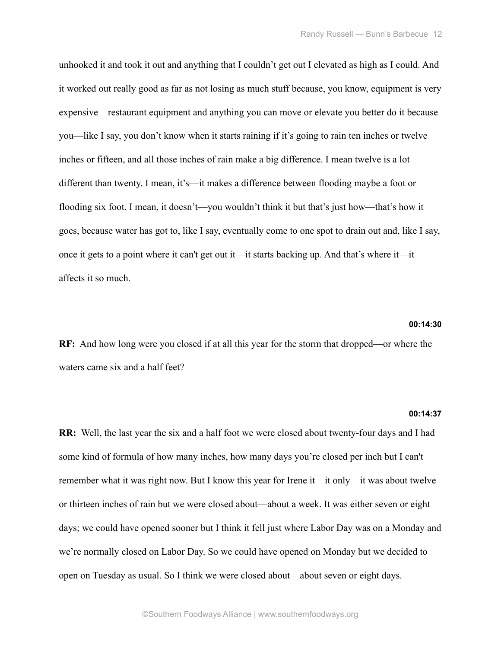unhooked it and took it out and anything that I couldn't get out I elevated as high as I could. And it worked out really good as far as not losing as much stuff because, you know, equipment is very expensive—restaurant equipment and anything you can move or elevate you better do it because you—like I say, you don't know when it starts raining if it's going to rain ten inches or twelve inches or fifteen, and all those inches of rain make a big difference. I mean twelve is a lot different than twenty. I mean, it's—it makes a difference between flooding maybe a foot or flooding six foot. I mean, it doesn't—you wouldn't think it but that's just how—that's how it goes, because water has got to, like I say, eventually come to one spot to drain out and, like I say, once it gets to a point where it can't get out it—it starts backing up. And that's where it—it affects it so much.

## **00:14:30**

**RF:** And how long were you closed if at all this year for the storm that dropped—or where the waters came six and a half feet?

#### **00:14:37**

**RR:** Well, the last year the six and a half foot we were closed about twenty-four days and I had some kind of formula of how many inches, how many days you're closed per inch but I can't remember what it was right now. But I know this year for Irene it—it only—it was about twelve or thirteen inches of rain but we were closed about—about a week. It was either seven or eight days; we could have opened sooner but I think it fell just where Labor Day was on a Monday and we're normally closed on Labor Day. So we could have opened on Monday but we decided to open on Tuesday as usual. So I think we were closed about—about seven or eight days.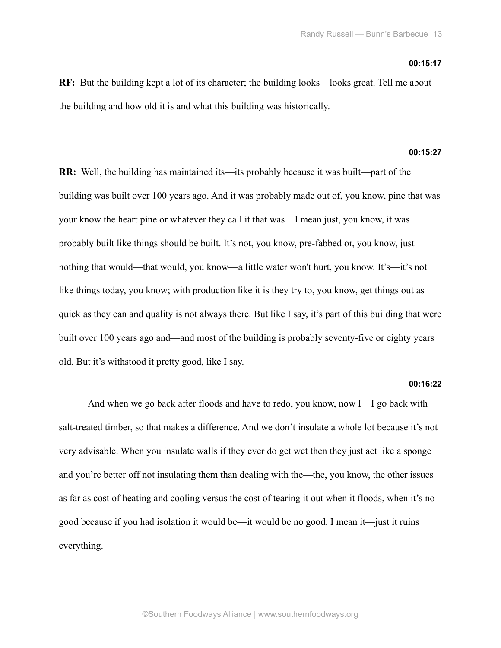#### **00:15:17**

**RF:** But the building kept a lot of its character; the building looks—looks great. Tell me about the building and how old it is and what this building was historically.

## **00:15:27**

**RR:** Well, the building has maintained its—its probably because it was built—part of the building was built over 100 years ago. And it was probably made out of, you know, pine that was your know the heart pine or whatever they call it that was—I mean just, you know, it was probably built like things should be built. It's not, you know, pre-fabbed or, you know, just nothing that would—that would, you know—a little water won't hurt, you know. It's—it's not like things today, you know; with production like it is they try to, you know, get things out as quick as they can and quality is not always there. But like I say, it's part of this building that were built over 100 years ago and—and most of the building is probably seventy-five or eighty years old. But it's withstood it pretty good, like I say.

#### **00:16:22**

 And when we go back after floods and have to redo, you know, now I—I go back with salt-treated timber, so that makes a difference. And we don't insulate a whole lot because it's not very advisable. When you insulate walls if they ever do get wet then they just act like a sponge and you're better off not insulating them than dealing with the—the, you know, the other issues as far as cost of heating and cooling versus the cost of tearing it out when it floods, when it's no good because if you had isolation it would be—it would be no good. I mean it—just it ruins everything.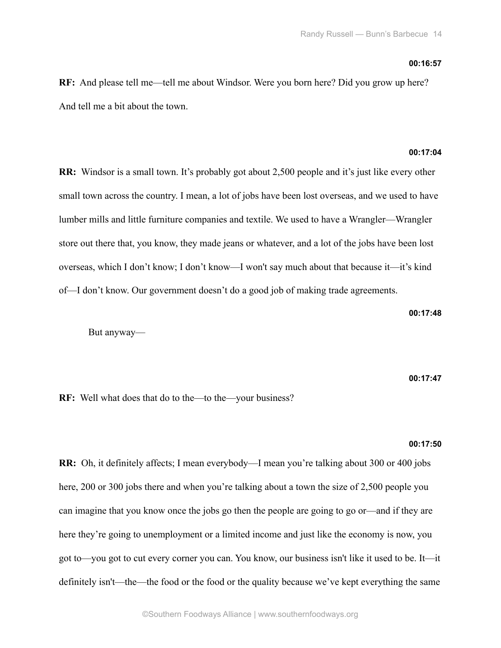#### **00:16:57**

**RF:** And please tell me—tell me about Windsor. Were you born here? Did you grow up here? And tell me a bit about the town.

## **00:17:04**

**RR:** Windsor is a small town. It's probably got about 2,500 people and it's just like every other small town across the country. I mean, a lot of jobs have been lost overseas, and we used to have lumber mills and little furniture companies and textile. We used to have a Wrangler—Wrangler store out there that, you know, they made jeans or whatever, and a lot of the jobs have been lost overseas, which I don't know; I don't know—I won't say much about that because it—it's kind of—I don't know. Our government doesn't do a good job of making trade agreements.

**00:17:48**

But anyway—

**00:17:47**

**RF:** Well what does that do to the—to the—your business?

#### **00:17:50**

**RR:** Oh, it definitely affects; I mean everybody—I mean you're talking about 300 or 400 jobs here, 200 or 300 jobs there and when you're talking about a town the size of 2,500 people you can imagine that you know once the jobs go then the people are going to go or—and if they are here they're going to unemployment or a limited income and just like the economy is now, you got to—you got to cut every corner you can. You know, our business isn't like it used to be. It—it definitely isn't—the—the food or the food or the quality because we've kept everything the same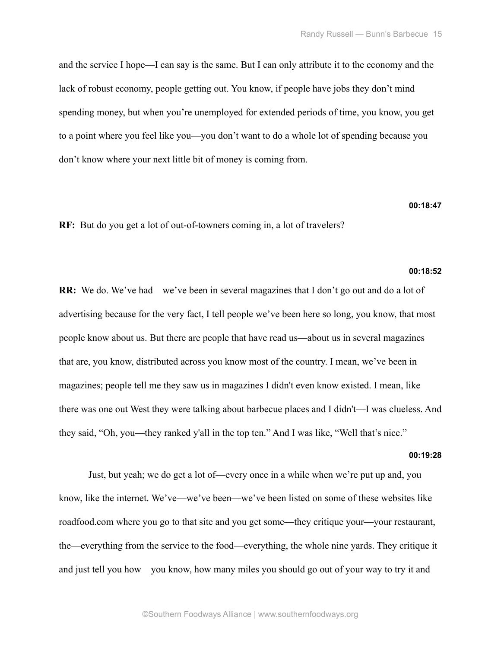and the service I hope—I can say is the same. But I can only attribute it to the economy and the lack of robust economy, people getting out. You know, if people have jobs they don't mind spending money, but when you're unemployed for extended periods of time, you know, you get to a point where you feel like you—you don't want to do a whole lot of spending because you don't know where your next little bit of money is coming from.

#### **00:18:47**

**RF:** But do you get a lot of out-of-towners coming in, a lot of travelers?

## **00:18:52**

**RR:** We do. We've had—we've been in several magazines that I don't go out and do a lot of advertising because for the very fact, I tell people we've been here so long, you know, that most people know about us. But there are people that have read us—about us in several magazines that are, you know, distributed across you know most of the country. I mean, we've been in magazines; people tell me they saw us in magazines I didn't even know existed. I mean, like there was one out West they were talking about barbecue places and I didn't—I was clueless. And they said, "Oh, you—they ranked y'all in the top ten." And I was like, "Well that's nice."

## **00:19:28**

 Just, but yeah; we do get a lot of—every once in a while when we're put up and, you know, like the internet. We've—we've been—we've been listed on some of these websites like [roadfood.com](http://www.roadfood.com) where you go to that site and you get some—they critique your—your restaurant, the—everything from the service to the food—everything, the whole nine yards. They critique it and just tell you how—you know, how many miles you should go out of your way to try it and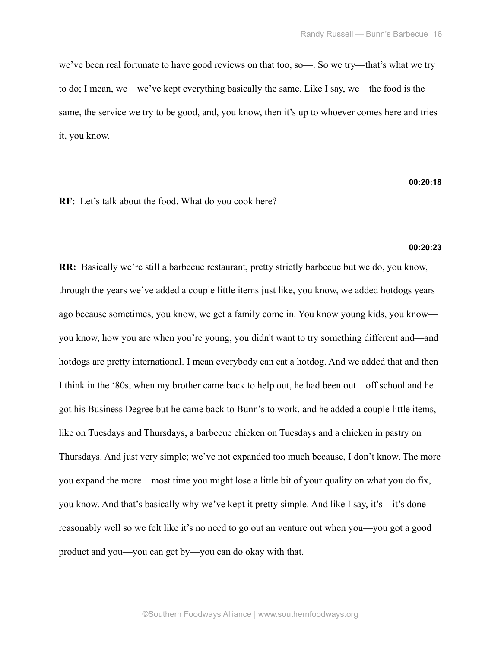we've been real fortunate to have good reviews on that too, so—. So we try—that's what we try to do; I mean, we—we've kept everything basically the same. Like I say, we—the food is the same, the service we try to be good, and, you know, then it's up to whoever comes here and tries it, you know.

## **00:20:18**

## **RF:** Let's talk about the food. What do you cook here?

## **00:20:23**

**RR:** Basically we're still a barbecue restaurant, pretty strictly barbecue but we do, you know, through the years we've added a couple little items just like, you know, we added hotdogs years ago because sometimes, you know, we get a family come in. You know young kids, you know you know, how you are when you're young, you didn't want to try something different and—and hotdogs are pretty international. I mean everybody can eat a hotdog. And we added that and then I think in the '80s, when my brother came back to help out, he had been out—off school and he got his Business Degree but he came back to Bunn's to work, and he added a couple little items, like on Tuesdays and Thursdays, a barbecue chicken on Tuesdays and a chicken in pastry on Thursdays. And just very simple; we've not expanded too much because, I don't know. The more you expand the more—most time you might lose a little bit of your quality on what you do fix, you know. And that's basically why we've kept it pretty simple. And like I say, it's—it's done reasonably well so we felt like it's no need to go out an venture out when you—you got a good product and you—you can get by—you can do okay with that.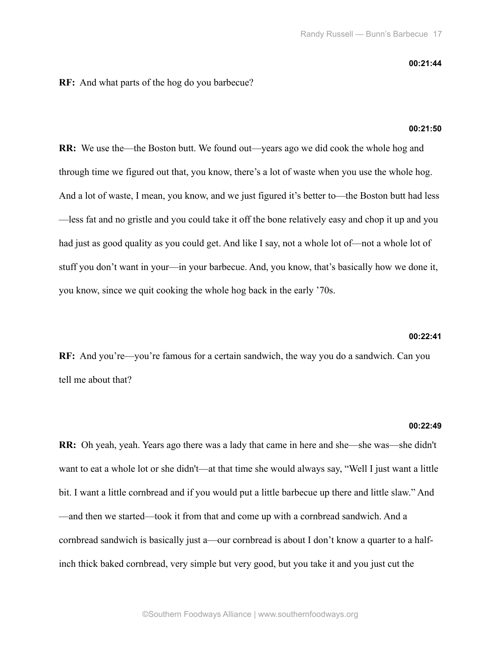#### **00:21:44**

## **RF:** And what parts of the hog do you barbecue?

## **00:21:50**

**RR:** We use the—the Boston butt. We found out—years ago we did cook the whole hog and through time we figured out that, you know, there's a lot of waste when you use the whole hog. And a lot of waste, I mean, you know, and we just figured it's better to—the Boston butt had less —less fat and no gristle and you could take it off the bone relatively easy and chop it up and you had just as good quality as you could get. And like I say, not a whole lot of—not a whole lot of stuff you don't want in your—in your barbecue. And, you know, that's basically how we done it, you know, since we quit cooking the whole hog back in the early '70s.

#### **00:22:41**

**RF:** And you're—you're famous for a certain sandwich, the way you do a sandwich. Can you tell me about that?

#### **00:22:49**

**RR:** Oh yeah, yeah. Years ago there was a lady that came in here and she—she was—she didn't want to eat a whole lot or she didn't—at that time she would always say, "Well I just want a little bit. I want a little cornbread and if you would put a little barbecue up there and little slaw." And —and then we started—took it from that and come up with a cornbread sandwich. And a cornbread sandwich is basically just a—our cornbread is about I don't know a quarter to a halfinch thick baked cornbread, very simple but very good, but you take it and you just cut the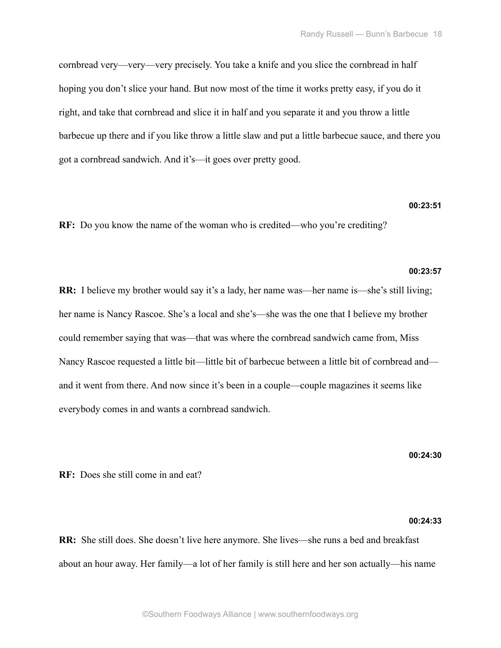cornbread very—very—very precisely. You take a knife and you slice the cornbread in half hoping you don't slice your hand. But now most of the time it works pretty easy, if you do it right, and take that cornbread and slice it in half and you separate it and you throw a little barbecue up there and if you like throw a little slaw and put a little barbecue sauce, and there you got a cornbread sandwich. And it's—it goes over pretty good.

## **00:23:51**

**RF:** Do you know the name of the woman who is credited—who you're crediting?

## **00:23:57**

**RR:** I believe my brother would say it's a lady, her name was—her name is—she's still living; her name is Nancy Rascoe. She's a local and she's—she was the one that I believe my brother could remember saying that was—that was where the cornbread sandwich came from, Miss Nancy Rascoe requested a little bit—little bit of barbecue between a little bit of cornbread and and it went from there. And now since it's been in a couple—couple magazines it seems like everybody comes in and wants a cornbread sandwich.

#### **00:24:30**

**RF:** Does she still come in and eat?

#### **00:24:33**

**RR:** She still does. She doesn't live here anymore. She lives—she runs a bed and breakfast about an hour away. Her family—a lot of her family is still here and her son actually—his name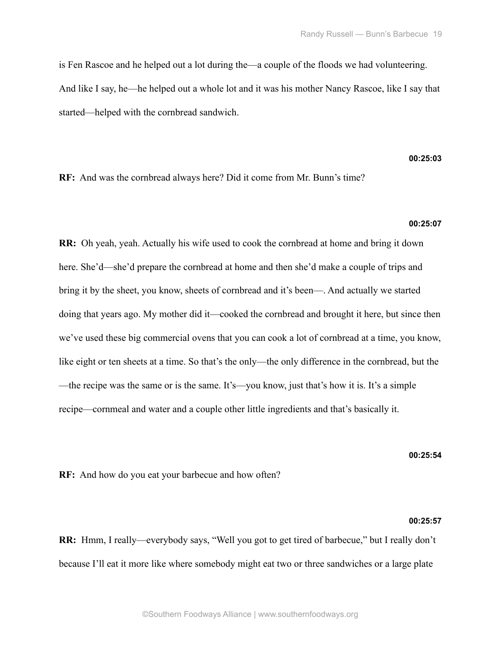is Fen Rascoe and he helped out a lot during the—a couple of the floods we had volunteering. And like I say, he—he helped out a whole lot and it was his mother Nancy Rascoe, like I say that started—helped with the cornbread sandwich.

## **00:25:03**

**RF:** And was the cornbread always here? Did it come from Mr. Bunn's time?

#### **00:25:07**

**RR:** Oh yeah, yeah. Actually his wife used to cook the cornbread at home and bring it down here. She'd—she'd prepare the cornbread at home and then she'd make a couple of trips and bring it by the sheet, you know, sheets of cornbread and it's been—. And actually we started doing that years ago. My mother did it—cooked the cornbread and brought it here, but since then we've used these big commercial ovens that you can cook a lot of cornbread at a time, you know, like eight or ten sheets at a time. So that's the only—the only difference in the cornbread, but the —the recipe was the same or is the same. It's—you know, just that's how it is. It's a simple recipe—cornmeal and water and a couple other little ingredients and that's basically it.

#### **00:25:54**

**RF:** And how do you eat your barbecue and how often?

#### **00:25:57**

**RR:** Hmm, I really—everybody says, "Well you got to get tired of barbecue," but I really don't because I'll eat it more like where somebody might eat two or three sandwiches or a large plate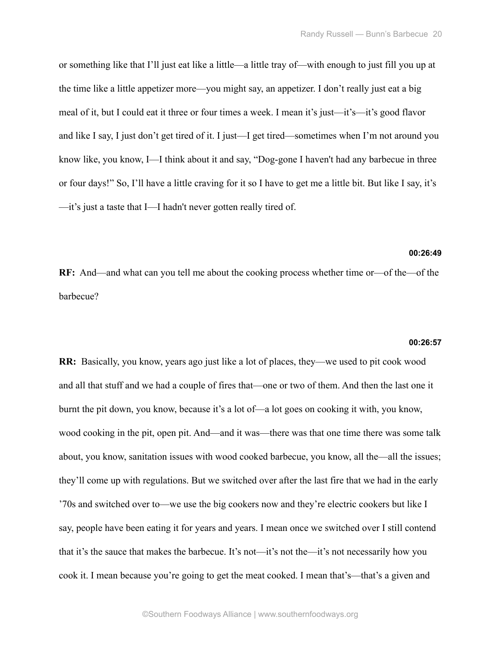or something like that I'll just eat like a little—a little tray of—with enough to just fill you up at the time like a little appetizer more—you might say, an appetizer. I don't really just eat a big meal of it, but I could eat it three or four times a week. I mean it's just—it's—it's good flavor and like I say, I just don't get tired of it. I just—I get tired—sometimes when I'm not around you know like, you know, I—I think about it and say, "Dog-gone I haven't had any barbecue in three or four days!" So, I'll have a little craving for it so I have to get me a little bit. But like I say, it's —it's just a taste that I—I hadn't never gotten really tired of.

#### **00:26:49**

**RF:** And—and what can you tell me about the cooking process whether time or—of the—of the barbecue?

## **00:26:57**

**RR:** Basically, you know, years ago just like a lot of places, they—we used to pit cook wood and all that stuff and we had a couple of fires that—one or two of them. And then the last one it burnt the pit down, you know, because it's a lot of—a lot goes on cooking it with, you know, wood cooking in the pit, open pit. And—and it was—there was that one time there was some talk about, you know, sanitation issues with wood cooked barbecue, you know, all the—all the issues; they'll come up with regulations. But we switched over after the last fire that we had in the early '70s and switched over to—we use the big cookers now and they're electric cookers but like I say, people have been eating it for years and years. I mean once we switched over I still contend that it's the sauce that makes the barbecue. It's not—it's not the—it's not necessarily how you cook it. I mean because you're going to get the meat cooked. I mean that's—that's a given and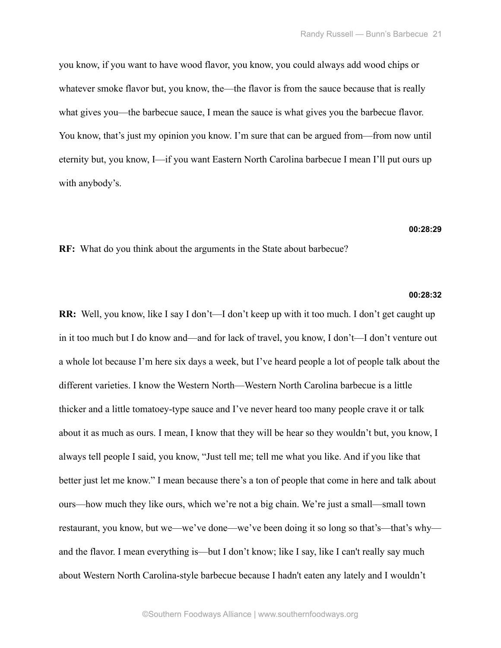you know, if you want to have wood flavor, you know, you could always add wood chips or whatever smoke flavor but, you know, the—the flavor is from the sauce because that is really what gives you—the barbecue sauce, I mean the sauce is what gives you the barbecue flavor. You know, that's just my opinion you know. I'm sure that can be argued from—from now until eternity but, you know, I—if you want Eastern North Carolina barbecue I mean I'll put ours up with anybody's.

## **00:28:29**

**RF:** What do you think about the arguments in the State about barbecue?

## **00:28:32**

**RR:** Well, you know, like I say I don't—I don't keep up with it too much. I don't get caught up in it too much but I do know and—and for lack of travel, you know, I don't—I don't venture out a whole lot because I'm here six days a week, but I've heard people a lot of people talk about the different varieties. I know the Western North—Western North Carolina barbecue is a little thicker and a little tomatoey-type sauce and I've never heard too many people crave it or talk about it as much as ours. I mean, I know that they will be hear so they wouldn't but, you know, I always tell people I said, you know, "Just tell me; tell me what you like. And if you like that better just let me know." I mean because there's a ton of people that come in here and talk about ours—how much they like ours, which we're not a big chain. We're just a small—small town restaurant, you know, but we—we've done—we've been doing it so long so that's—that's why and the flavor. I mean everything is—but I don't know; like I say, like I can't really say much about Western North Carolina-style barbecue because I hadn't eaten any lately and I wouldn't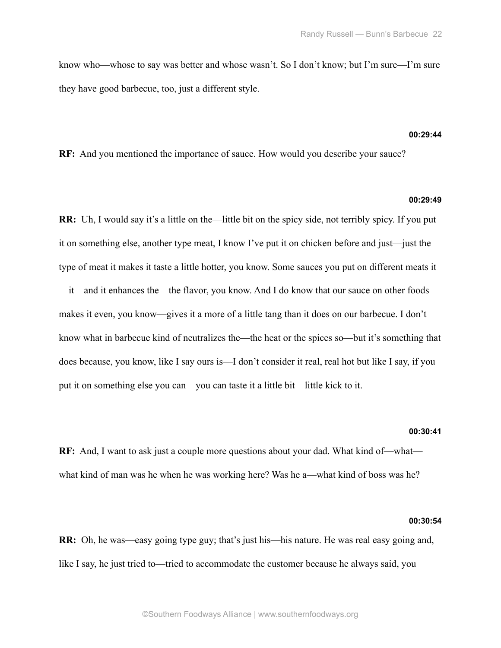know who—whose to say was better and whose wasn't. So I don't know; but I'm sure—I'm sure they have good barbecue, too, just a different style.

## **00:29:44**

**RF:** And you mentioned the importance of sauce. How would you describe your sauce?

## **00:29:49**

**RR:** Uh, I would say it's a little on the—little bit on the spicy side, not terribly spicy. If you put it on something else, another type meat, I know I've put it on chicken before and just—just the type of meat it makes it taste a little hotter, you know. Some sauces you put on different meats it —it—and it enhances the—the flavor, you know. And I do know that our sauce on other foods makes it even, you know—gives it a more of a little tang than it does on our barbecue. I don't know what in barbecue kind of neutralizes the—the heat or the spices so—but it's something that does because, you know, like I say ours is—I don't consider it real, real hot but like I say, if you put it on something else you can—you can taste it a little bit—little kick to it.

## **00:30:41**

**RF:** And, I want to ask just a couple more questions about your dad. What kind of—what what kind of man was he when he was working here? Was he a—what kind of boss was he?

#### **00:30:54**

**RR:** Oh, he was—easy going type guy; that's just his—his nature. He was real easy going and, like I say, he just tried to—tried to accommodate the customer because he always said, you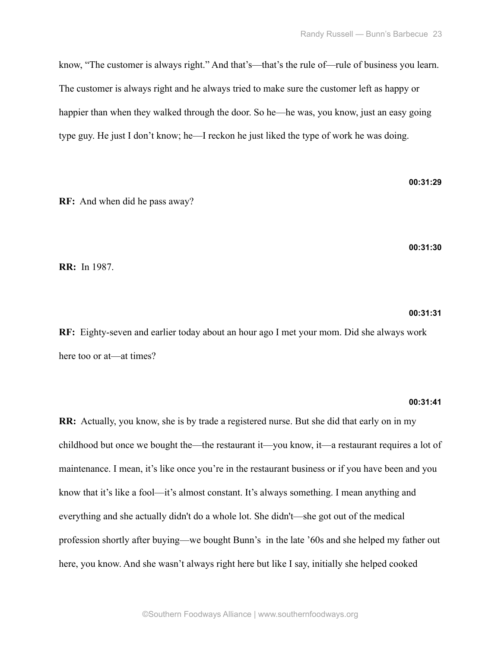know, "The customer is always right." And that's—that's the rule of—rule of business you learn. The customer is always right and he always tried to make sure the customer left as happy or happier than when they walked through the door. So he—he was, you know, just an easy going type guy. He just I don't know; he—I reckon he just liked the type of work he was doing.

**RF:** And when did he pass away?

**00:31:30**

**00:31:29**

**RR:** In 1987.

## **00:31:31**

**RF:** Eighty-seven and earlier today about an hour ago I met your mom. Did she always work here too or at—at times?

## **00:31:41**

**RR:** Actually, you know, she is by trade a registered nurse. But she did that early on in my childhood but once we bought the—the restaurant it—you know, it—a restaurant requires a lot of maintenance. I mean, it's like once you're in the restaurant business or if you have been and you know that it's like a fool—it's almost constant. It's always something. I mean anything and everything and she actually didn't do a whole lot. She didn't—she got out of the medical profession shortly after buying—we bought Bunn's in the late '60s and she helped my father out here, you know. And she wasn't always right here but like I say, initially she helped cooked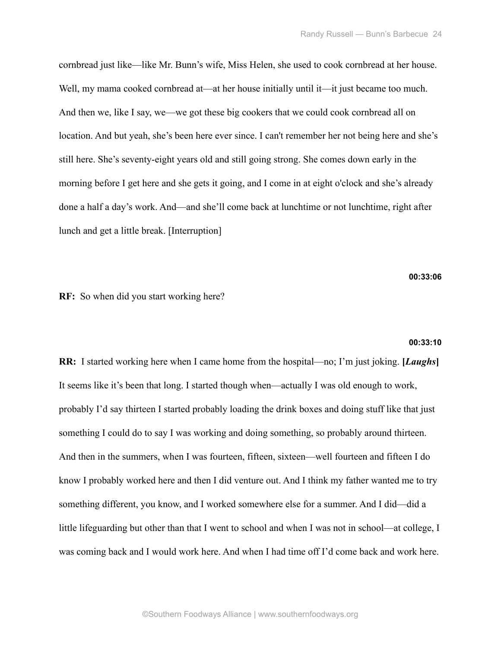cornbread just like—like Mr. Bunn's wife, Miss Helen, she used to cook cornbread at her house. Well, my mama cooked cornbread at—at her house initially until it—it just became too much. And then we, like I say, we—we got these big cookers that we could cook cornbread all on location. And but yeah, she's been here ever since. I can't remember her not being here and she's still here. She's seventy-eight years old and still going strong. She comes down early in the morning before I get here and she gets it going, and I come in at eight o'clock and she's already done a half a day's work. And—and she'll come back at lunchtime or not lunchtime, right after lunch and get a little break. [Interruption]

**00:33:06**

**RF:** So when did you start working here?

## **00:33:10**

**RR:** I started working here when I came home from the hospital—no; I'm just joking. **[***Laughs***]** It seems like it's been that long. I started though when—actually I was old enough to work, probably I'd say thirteen I started probably loading the drink boxes and doing stuff like that just something I could do to say I was working and doing something, so probably around thirteen. And then in the summers, when I was fourteen, fifteen, sixteen—well fourteen and fifteen I do know I probably worked here and then I did venture out. And I think my father wanted me to try something different, you know, and I worked somewhere else for a summer. And I did—did a little lifeguarding but other than that I went to school and when I was not in school—at college, I was coming back and I would work here. And when I had time off I'd come back and work here.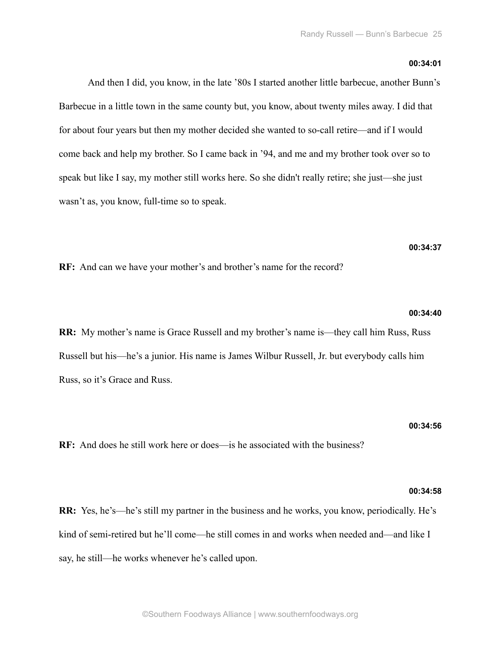#### **00:34:01**

 And then I did, you know, in the late '80s I started another little barbecue, another Bunn's Barbecue in a little town in the same county but, you know, about twenty miles away. I did that for about four years but then my mother decided she wanted to so-call retire—and if I would come back and help my brother. So I came back in '94, and me and my brother took over so to speak but like I say, my mother still works here. So she didn't really retire; she just—she just wasn't as, you know, full-time so to speak.

## **00:34:37**

**RF:** And can we have your mother's and brother's name for the record?

#### **00:34:40**

**RR:** My mother's name is Grace Russell and my brother's name is—they call him Russ, Russ Russell but his—he's a junior. His name is James Wilbur Russell, Jr. but everybody calls him Russ, so it's Grace and Russ.

#### **00:34:56**

**RF:** And does he still work here or does—is he associated with the business?

#### **00:34:58**

**RR:** Yes, he's—he's still my partner in the business and he works, you know, periodically. He's kind of semi-retired but he'll come—he still comes in and works when needed and—and like I say, he still—he works whenever he's called upon.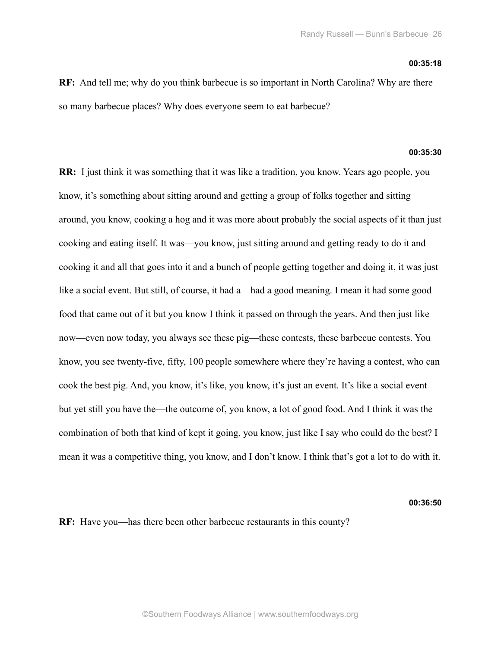#### **00:35:18**

**RF:** And tell me; why do you think barbecue is so important in North Carolina? Why are there so many barbecue places? Why does everyone seem to eat barbecue?

#### **00:35:30**

**RR:** I just think it was something that it was like a tradition, you know. Years ago people, you know, it's something about sitting around and getting a group of folks together and sitting around, you know, cooking a hog and it was more about probably the social aspects of it than just cooking and eating itself. It was—you know, just sitting around and getting ready to do it and cooking it and all that goes into it and a bunch of people getting together and doing it, it was just like a social event. But still, of course, it had a—had a good meaning. I mean it had some good food that came out of it but you know I think it passed on through the years. And then just like now—even now today, you always see these pig—these contests, these barbecue contests. You know, you see twenty-five, fifty, 100 people somewhere where they're having a contest, who can cook the best pig. And, you know, it's like, you know, it's just an event. It's like a social event but yet still you have the—the outcome of, you know, a lot of good food. And I think it was the combination of both that kind of kept it going, you know, just like I say who could do the best? I mean it was a competitive thing, you know, and I don't know. I think that's got a lot to do with it.

**00:36:50**

**RF:** Have you—has there been other barbecue restaurants in this county?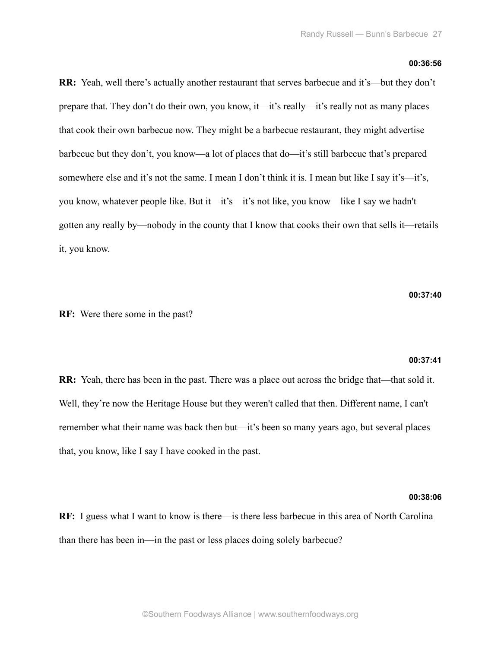#### **00:36:56**

**RR:** Yeah, well there's actually another restaurant that serves barbecue and it's—but they don't prepare that. They don't do their own, you know, it—it's really—it's really not as many places that cook their own barbecue now. They might be a barbecue restaurant, they might advertise barbecue but they don't, you know—a lot of places that do—it's still barbecue that's prepared somewhere else and it's not the same. I mean I don't think it is. I mean but like I say it's—it's, you know, whatever people like. But it—it's—it's not like, you know—like I say we hadn't gotten any really by—nobody in the county that I know that cooks their own that sells it—retails it, you know.

**00:37:40**

**RF:** Were there some in the past?

## **00:37:41**

**RR:** Yeah, there has been in the past. There was a place out across the bridge that—that sold it. Well, they're now the Heritage House but they weren't called that then. Different name, I can't remember what their name was back then but—it's been so many years ago, but several places that, you know, like I say I have cooked in the past.

#### **00:38:06**

**RF:** I guess what I want to know is there—is there less barbecue in this area of North Carolina than there has been in—in the past or less places doing solely barbecue?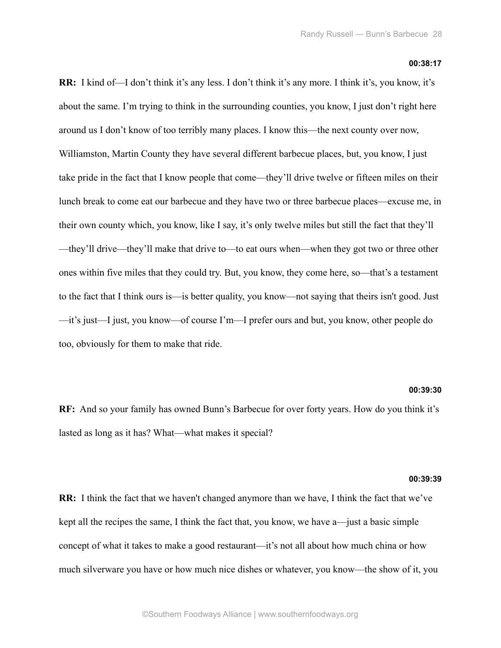#### **00:38:17**

**RR:** I kind of—I don't think it's any less. I don't think it's any more. I think it's, you know, it's about the same. I'm trying to think in the surrounding counties, you know, I just don't right here around us I don't know of too terribly many places. I know this—the next county over now, Williamston, Martin County they have several different barbecue places, but, you know, I just take pride in the fact that I know people that come—they'll drive twelve or fifteen miles on their lunch break to come eat our barbecue and they have two or three barbecue places—excuse me, in their own county which, you know, like I say, it's only twelve miles but still the fact that they'll —they'll drive—they'll make that drive to—to eat ours when—when they got two or three other ones within five miles that they could try. But, you know, they come here, so—that's a testament to the fact that I think ours is—is better quality, you know—not saying that theirs isn't good. Just —it's just—I just, you know—of course I'm—I prefer ours and but, you know, other people do too, obviously for them to make that ride.

## **00:39:30**

**RF:** And so your family has owned Bunn's Barbecue for over forty years. How do you think it's lasted as long as it has? What—what makes it special?

#### **00:39:39**

**RR:** I think the fact that we haven't changed anymore than we have, I think the fact that we've kept all the recipes the same, I think the fact that, you know, we have a—just a basic simple concept of what it takes to make a good restaurant—it's not all about how much china or how much silverware you have or how much nice dishes or whatever, you know—the show of it, you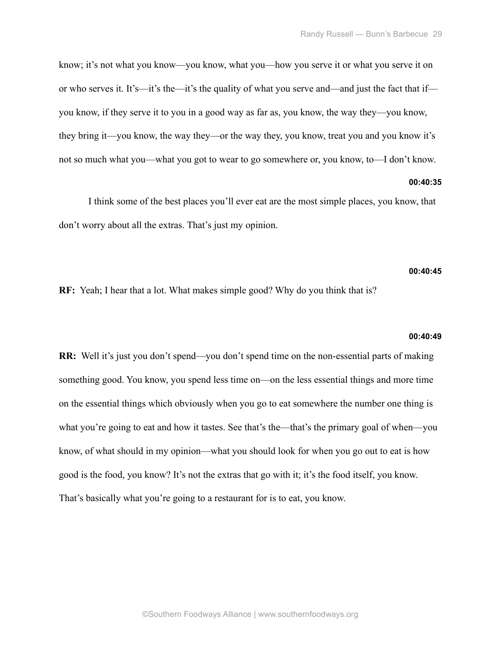know; it's not what you know—you know, what you—how you serve it or what you serve it on or who serves it. It's—it's the—it's the quality of what you serve and—and just the fact that if you know, if they serve it to you in a good way as far as, you know, the way they—you know, they bring it—you know, the way they—or the way they, you know, treat you and you know it's not so much what you—what you got to wear to go somewhere or, you know, to—I don't know.

## **00:40:35**

 I think some of the best places you'll ever eat are the most simple places, you know, that don't worry about all the extras. That's just my opinion.

## **00:40:45**

**RF:** Yeah; I hear that a lot. What makes simple good? Why do you think that is?

#### **00:40:49**

**RR:** Well it's just you don't spend—you don't spend time on the non-essential parts of making something good. You know, you spend less time on—on the less essential things and more time on the essential things which obviously when you go to eat somewhere the number one thing is what you're going to eat and how it tastes. See that's the—that's the primary goal of when—you know, of what should in my opinion—what you should look for when you go out to eat is how good is the food, you know? It's not the extras that go with it; it's the food itself, you know. That's basically what you're going to a restaurant for is to eat, you know.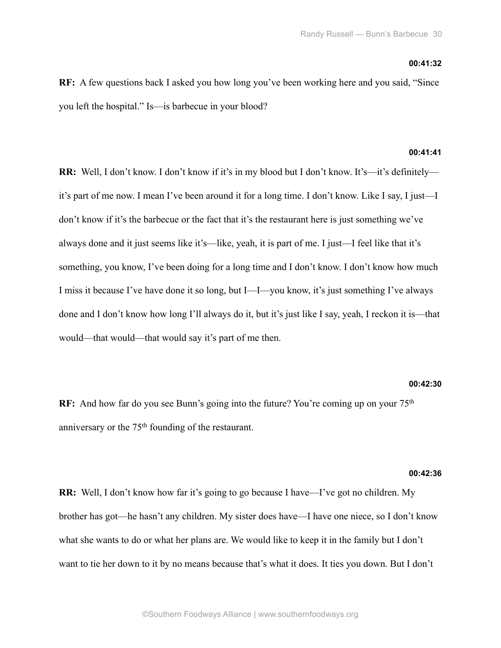#### **00:41:32**

**RF:** A few questions back I asked you how long you've been working here and you said, "Since you left the hospital." Is—is barbecue in your blood?

## **00:41:41**

**RR:** Well, I don't know. I don't know if it's in my blood but I don't know. It's—it's definitely it's part of me now. I mean I've been around it for a long time. I don't know. Like I say, I just—I don't know if it's the barbecue or the fact that it's the restaurant here is just something we've always done and it just seems like it's—like, yeah, it is part of me. I just—I feel like that it's something, you know, I've been doing for a long time and I don't know. I don't know how much I miss it because I've have done it so long, but I—I—you know, it's just something I've always done and I don't know how long I'll always do it, but it's just like I say, yeah, I reckon it is—that would—that would—that would say it's part of me then.

#### **00:42:30**

**RF:** And how far do you see Bunn's going into the future? You're coming up on your 75<sup>th</sup> anniversary or the 75<sup>th</sup> founding of the restaurant.

## **00:42:36**

**RR:** Well, I don't know how far it's going to go because I have—I've got no children. My brother has got—he hasn't any children. My sister does have—I have one niece, so I don't know what she wants to do or what her plans are. We would like to keep it in the family but I don't want to tie her down to it by no means because that's what it does. It ties you down. But I don't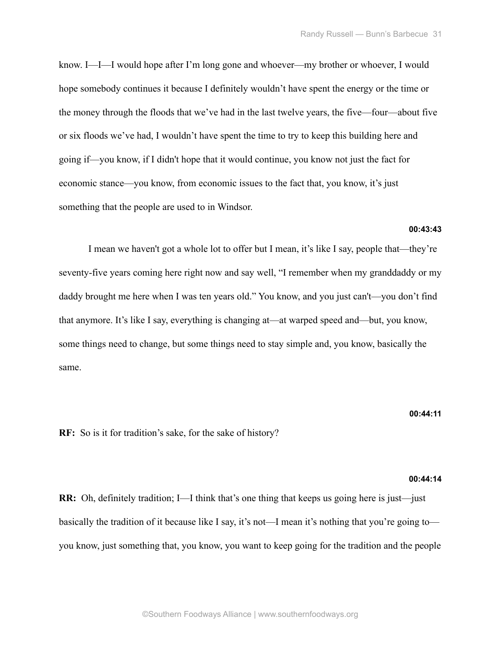know. I—I—I would hope after I'm long gone and whoever—my brother or whoever, I would hope somebody continues it because I definitely wouldn't have spent the energy or the time or the money through the floods that we've had in the last twelve years, the five—four—about five or six floods we've had, I wouldn't have spent the time to try to keep this building here and going if—you know, if I didn't hope that it would continue, you know not just the fact for economic stance—you know, from economic issues to the fact that, you know, it's just something that the people are used to in Windsor.

## **00:43:43**

 I mean we haven't got a whole lot to offer but I mean, it's like I say, people that—they're seventy-five years coming here right now and say well, "I remember when my granddaddy or my daddy brought me here when I was ten years old." You know, and you just can't—you don't find that anymore. It's like I say, everything is changing at—at warped speed and—but, you know, some things need to change, but some things need to stay simple and, you know, basically the same.

## **00:44:11**

**RF:** So is it for tradition's sake, for the sake of history?

#### **00:44:14**

**RR:** Oh, definitely tradition; I—I think that's one thing that keeps us going here is just—just basically the tradition of it because like I say, it's not—I mean it's nothing that you're going to you know, just something that, you know, you want to keep going for the tradition and the people